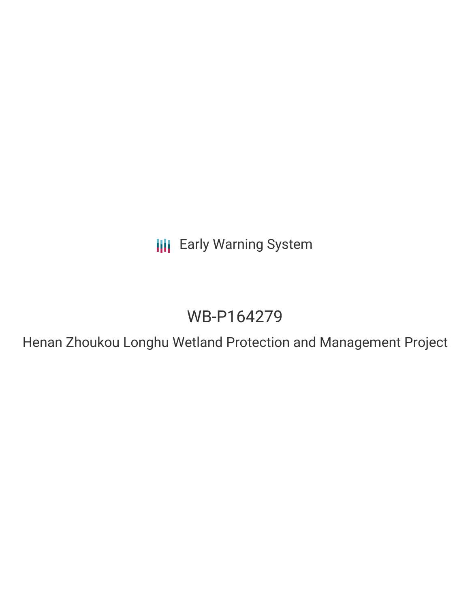**III** Early Warning System

# WB-P164279

Henan Zhoukou Longhu Wetland Protection and Management Project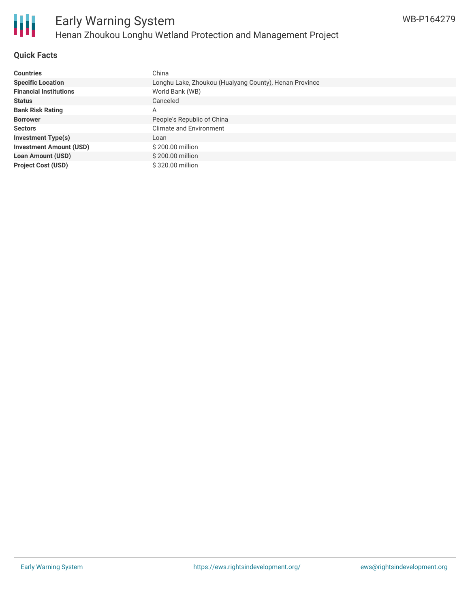

# **Quick Facts**

| <b>Countries</b>               | China                                                  |
|--------------------------------|--------------------------------------------------------|
| <b>Specific Location</b>       | Longhu Lake, Zhoukou (Huaiyang County), Henan Province |
| <b>Financial Institutions</b>  | World Bank (WB)                                        |
| <b>Status</b>                  | Canceled                                               |
| <b>Bank Risk Rating</b>        | A                                                      |
| <b>Borrower</b>                | People's Republic of China                             |
| <b>Sectors</b>                 | <b>Climate and Environment</b>                         |
| <b>Investment Type(s)</b>      | Loan                                                   |
| <b>Investment Amount (USD)</b> | \$200.00 million                                       |
| <b>Loan Amount (USD)</b>       | \$200.00 million                                       |
| <b>Project Cost (USD)</b>      | $$320.00$ million                                      |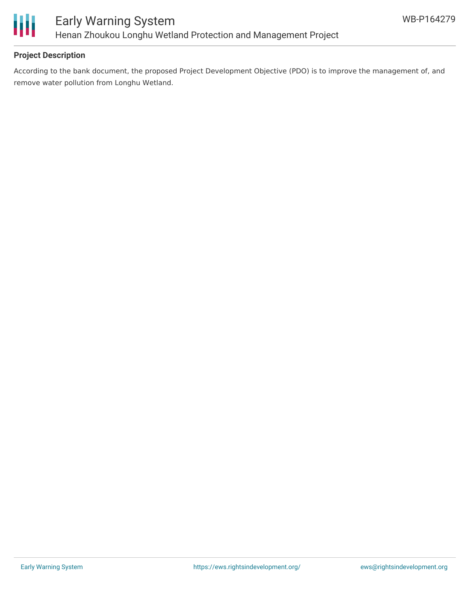

# **Project Description**

According to the bank document, the proposed Project Development Objective (PDO) is to improve the management of, and remove water pollution from Longhu Wetland.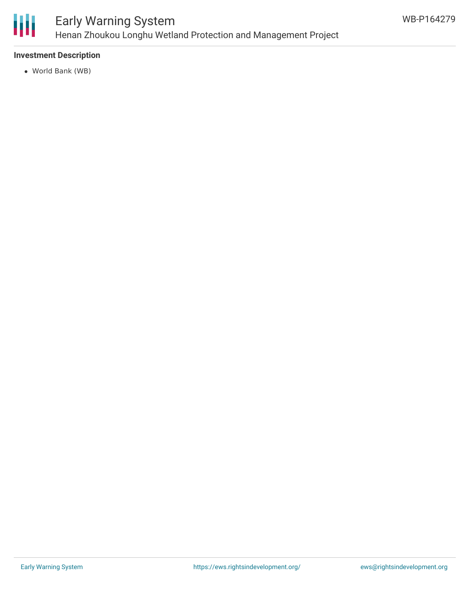

# Early Warning System Henan Zhoukou Longhu Wetland Protection and Management Project

# **Investment Description**

World Bank (WB)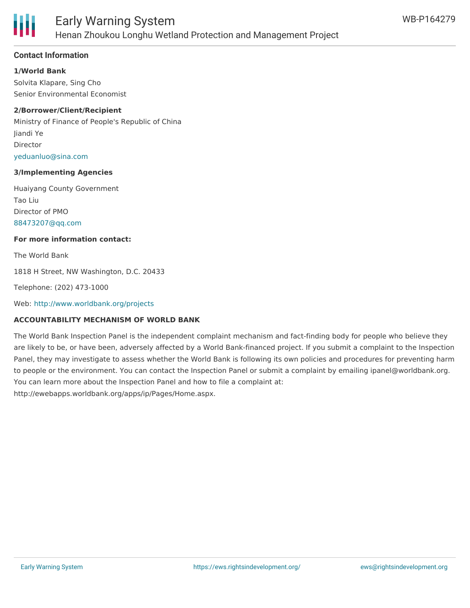

### **Contact Information**

**1/World Bank** Solvita Klapare, Sing Cho Senior Environmental Economist

#### **2/Borrower/Client/Recipient**

Ministry of Finance of People's Republic of China Jiandi Ye Director [yeduanluo@sina.com](mailto:yeduanluo@sina.com)

#### **3/Implementing Agencies**

Huaiyang County Government Tao Liu Director of PMO [88473207@qq.com](mailto:88473207@qq.com)

#### **For more information contact:**

The World Bank

1818 H Street, NW Washington, D.C. 20433

Telephone: (202) 473-1000

Web: <http://www.worldbank.org/projects>

#### **ACCOUNTABILITY MECHANISM OF WORLD BANK**

The World Bank Inspection Panel is the independent complaint mechanism and fact-finding body for people who believe they are likely to be, or have been, adversely affected by a World Bank-financed project. If you submit a complaint to the Inspection Panel, they may investigate to assess whether the World Bank is following its own policies and procedures for preventing harm to people or the environment. You can contact the Inspection Panel or submit a complaint by emailing ipanel@worldbank.org. You can learn more about the Inspection Panel and how to file a complaint at: http://ewebapps.worldbank.org/apps/ip/Pages/Home.aspx.